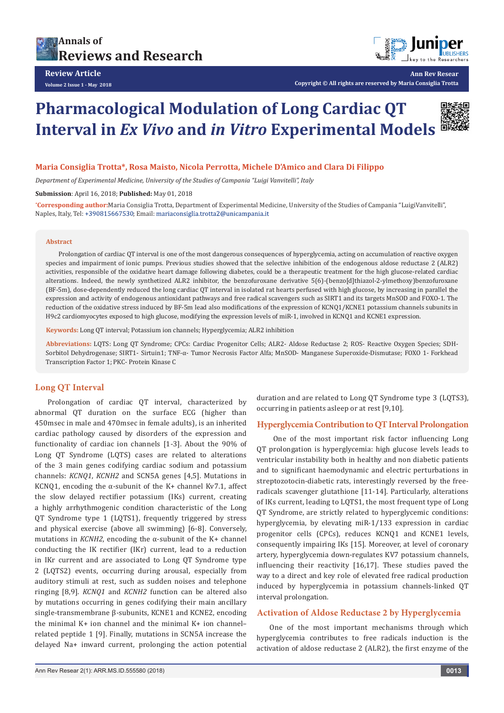



**Ann Rev Resear**

**Copyright © All rights are reserved by Maria Consiglia Trotta**

# **Pharmacological Modulation of Long Cardiac QT Interval in** *Ex Vivo* **and** *in Vitro* **Experimental Models**



## **Maria Consiglia Trotta\*, Rosa Maisto, Nicola Perrotta, Michele D'Amico and Clara Di Filippo**

*Department of Experimental Medicine, University of the Studies of Campania "Luigi Vanvitelli", Italy*

**Submission**: April 16, 2018; **Published:** May 01, 2018

**\* Corresponding author:**Maria Consiglia Trotta, Department of Experimental Medicine, University of the Studies of Campania "LuigiVanvitelli", Naples, Italy, Tel: +390815667530; Email: mariaconsiglia.trotta2@unicampania.it

#### **Abstract**

Prolongation of cardiac QT interval is one of the most dangerous consequences of hyperglycemia, acting on accumulation of reactive oxygen species and impairment of ionic pumps. Previous studies showed that the selective inhibition of the endogenous aldose reductase 2 (ALR2) activities, responsible of the oxidative heart damage following diabetes, could be a therapeutic treatment for the high glucose-related cardiac alterations. Indeed, the newly synthetized ALR2 inhibitor, the benzofuroxane derivative 5(6)-(benzo[d]thiazol-2-ylmethoxy)benzofuroxane (BF-5m), dose-dependently reduced the long cardiac QT interval in isolated rat hearts perfused with high glucose, by increasing in parallel the expression and activity of endogenous antioxidant pathways and free radical scavengers such as SIRT1 and its targets MnSOD and FOXO-1. The reduction of the oxidative stress induced by BF-5m lead also modifications of the expression of KCNQ1/KCNE1 potassium channels subunits in H9c2 cardiomyocytes exposed to high glucose, modifying the expression levels of miR-1, involved in KCNQ1 and KCNE1 expression.

**Keywords:** Long QT interval; Potassium ion channels; Hyperglycemia; ALR2 inhibition

**Abbreviations:** LQTS: Long QT Syndrome; CPCs: Cardiac Progenitor Cells; ALR2- Aldose Reductase 2; ROS- Reactive Oxygen Species; SDH-Sorbitol Dehydrogenase; SIRT1- Sirtuin1; TNF-α- Tumor Necrosis Factor Alfa; MnSOD- Manganese Superoxide-Dismutase; FOXO 1- Forkhead Transcription Factor 1; PKC- Protein Kinase C

## **Long QT Interval**

Prolongation of cardiac QT interval, characterized by abnormal QT duration on the surface ECG (higher than 450msec in male and 470msec in female adults), is an inherited cardiac pathology caused by disorders of the expression and functionality of cardiac ion channels [1-3]. About the 90% of Long QT Syndrome (LQTS) cases are related to alterations of the 3 main genes codifying cardiac sodium and potassium channels: *KCNQ1*, *KCNH2* and SCN5A genes [4,5]. Mutations in KCNQ1, encoding the α-subunit of the K+ channel Kv7.1, affect the slow delayed rectifier potassium (IKs) current, creating a highly arrhythmogenic condition characteristic of the Long QT Syndrome type 1 (LQTS1), frequently triggered by stress and physical exercise (above all swimming) [6-8]. Conversely, mutations in  $KCMH2$ , encoding the  $\alpha$ -subunit of the K+ channel conducting the IK rectifier (IKr) current, lead to a reduction in IKr current and are associated to Long QT Syndrome type 2 (LQTS2) events, occurring during arousal, especially from auditory stimuli at rest, such as sudden noises and telephone ringing [8,9]. *KCNQ1* and *KCNH2* function can be altered also by mutations occurring in genes codifying their main ancillary single-transmembrane β-subunits, KCNE1 and KCNE2, encoding the minimal K+ ion channel and the minimal K+ ion channel– related peptide 1 [9]. Finally, mutations in SCN5A increase the delayed Na+ inward current, prolonging the action potential

duration and are related to Long QT Syndrome type 3 (LQTS3), occurring in patients asleep or at rest [9,10].

#### **Hyperglycemia Contribution to QT Interval Prolongation**

 One of the most important risk factor influencing Long QT prolongation is hyperglycemia: high glucose levels leads to ventricular instability both in healthy and non diabetic patients and to significant haemodynamic and electric perturbations in streptozotocin-diabetic rats, interestingly reversed by the freeradicals scavenger glutathione [11-14]. Particularly, alterations of IKs current, leading to LQTS1, the most frequent type of Long QT Syndrome, are strictly related to hyperglycemic conditions: hyperglycemia, by elevating miR-1/133 expression in cardiac progenitor cells (CPCs), reduces KCNQ1 and KCNE1 levels, consequently impairing IKs [15]. Moreover, at level of coronary artery, hyperglycemia down-regulates KV7 potassium channels, influencing their reactivity [16,17]. These studies paved the way to a direct and key role of elevated free radical production induced by hyperglycemia in potassium channels-linked QT interval prolongation.

#### **Activation of Aldose Reductase 2 by Hyperglycemia**

One of the most important mechanisms through which hyperglycemia contributes to free radicals induction is the activation of aldose reductase 2 (ALR2), the first enzyme of the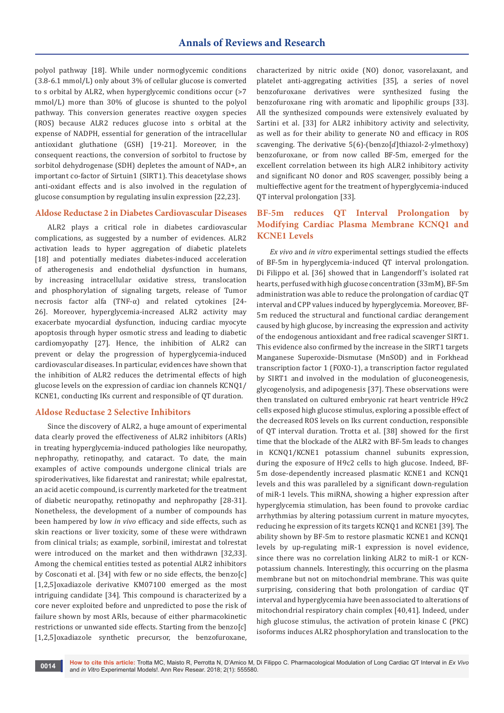polyol pathway [18]. While under normoglycemic conditions (3.8-6.1 mmol/L) only about 3% of cellular glucose is converted to s orbital by ALR2, when hyperglycemic conditions occur (>7 mmol/L) more than 30% of glucose is shunted to the polyol pathway. This conversion generates reactive oxygen species (ROS) because ALR2 reduces glucose into s orbital at the expense of NADPH, essential for generation of the intracellular antioxidant gluthatione (GSH) [19-21]. Moreover, in the consequent reactions, the conversion of sorbitol to fructose by sorbitol dehydrogenase (SDH) depletes the amount of NAD+, an important co-factor of Sirtuin1 (SIRT1). This deacetylase shows anti-oxidant effects and is also involved in the regulation of glucose consumption by regulating insulin expression [22,23].

#### **Aldose Reductase 2 in Diabetes Cardiovascular Diseases**

ALR2 plays a critical role in diabetes cardiovascular complications, as suggested by a number of evidences. ALR2 activation leads to hyper aggregation of diabetic platelets [18] and potentially mediates diabetes-induced acceleration of atherogenesis and endothelial dysfunction in humans, by increasing intracellular oxidative stress, translocation and phosphorylation of signaling targets, release of Tumor necrosis factor alfa (TNF-α) and related cytokines [24- 26]. Moreover, hyperglycemia-increased ALR2 activity may exacerbate myocardial dysfunction, inducing cardiac myocyte apoptosis through hyper osmotic stress and leading to diabetic cardiomyopathy [27]. Hence, the inhibition of ALR2 can prevent or delay the progression of hyperglycemia-induced cardiovascular diseases. In particular, evidences have shown that the inhibition of ALR2 reduces the detrimental effects of high glucose levels on the expression of cardiac ion channels KCNQ1/ KCNE1, conducting IKs current and responsible of QT duration.

#### **Aldose Reductase 2 Selective Inhibitors**

Since the discovery of ALR2, a huge amount of experimental data clearly proved the effectiveness of ALR2 inhibitors (ARIs) in treating hyperglycemia-induced pathologies like neuropathy, nephropathy, retinopathy, and cataract. To date, the main examples of active compounds undergone clinical trials are spiroderivatives, like fidarestat and ranirestat; while epalrestat, an acid acetic compound, is currently marketed for the treatment of diabetic neuropathy, retinopathy and nephropathy [28-31]. Nonetheless, the development of a number of compounds has been hampered by low *in vivo* efficacy and side effects, such as skin reactions or liver toxicity, some of these were withdrawn from clinical trials; as example, sorbinil, imirestat and tolrestat were introduced on the market and then withdrawn [32,33]. Among the chemical entities tested as potential ALR2 inhibitors by Cosconati et al. [34] with few or no side effects, the benzo[c] [1,2,5]oxadiazole derivative KM07100 emerged as the most intriguing candidate [34]. This compound is characterized by a core never exploited before and unpredicted to pose the risk of failure shown by most ARIs, because of either pharmacokinetic restrictions or unwanted side effects. Starting from the benzo[c] [1,2,5]oxadiazole synthetic precursor, the benzofuroxane,

characterized by nitric oxide (NO) donor, vasorelaxant, and platelet anti-aggregating activities [35], a series of novel benzofuroxane derivatives were synthesized fusing the benzofuroxane ring with aromatic and lipophilic groups [33]. All the synthesized compounds were extensively evaluated by Sartini et al. [33] for ALR2 inhibitory activity and selectivity, as well as for their ability to generate NO and efficacy in ROS scavenging. The derivative  $5(6)$ -(benzo[d]thiazol-2-ylmethoxy) benzofuroxane, or from now called BF-5m, emerged for the excellent correlation between its high ALR2 inhibitory activity and significant NO donor and ROS scavenger, possibly being a multieffective agent for the treatment of hyperglycemia-induced QT interval prolongation [33].

# **BF-5m reduces QT Interval Prolongation by Modifying Cardiac Plasma Membrane KCNQ1 and KCNE1 Levels**

*Ex vivo* and *in vitro* experimental settings studied the effects of BF-5m in hyperglycemia-induced QT interval prolongation. Di Filippo et al. [36] showed that in Langendorff's isolated rat hearts, perfused with high glucose concentration (33mM), BF-5m administration was able to reduce the prolongation of cardiac QT interval and CPP values induced by hyperglycemia. Moreover, BF-5m reduced the structural and functional cardiac derangement caused by high glucose, by increasing the expression and activity of the endogenous antioxidant and free radical scavenger SIRT1. This evidence also confirmed by the increase in the SIRT1 targets Manganese Superoxide-Dismutase (MnSOD) and in Forkhead transcription factor 1 (FOXO-1), a transcription factor regulated by SIRT1 and involved in the modulation of gluconeogenesis, glycogenolysis, and adipogenesis [37]. These observations were then translated on cultured embryonic rat heart ventricle H9c2 cells exposed high glucose stimulus, exploring a possible effect of the decreased ROS levels on Iks current conduction, responsible of QT interval duration. Trotta et al. [38] showed for the first time that the blockade of the ALR2 with BF-5m leads to changes in KCNQ1/KCNE1 potassium channel subunits expression, during the exposure of H9c2 cells to high glucose. Indeed, BF-5m dose-dependently increased plasmatic KCNE1 and KCNQ1 levels and this was paralleled by a significant down-regulation of miR-1 levels. This miRNA, showing a higher expression after hyperglycemia stimulation, has been found to provoke cardiac arrhythmias by altering potassium current in mature myocytes, reducing he expression of its targets KCNQ1 and KCNE1 [39]. The ability shown by BF-5m to restore plasmatic KCNE1 and KCNQ1 levels by up-regulating miR-1 expression is novel evidence, since there was no correlation linking ALR2 to miR-1 or KCNpotassium channels. Interestingly, this occurring on the plasma membrane but not on mitochondrial membrane. This was quite surprising, considering that both prolongation of cardiac QT interval and hyperglycemia have been associated to alterations of mitochondrial respiratory chain complex [40,41]. Indeed, under high glucose stimulus, the activation of protein kinase C (PKC) isoforms induces ALR2 phosphorylation and translocation to the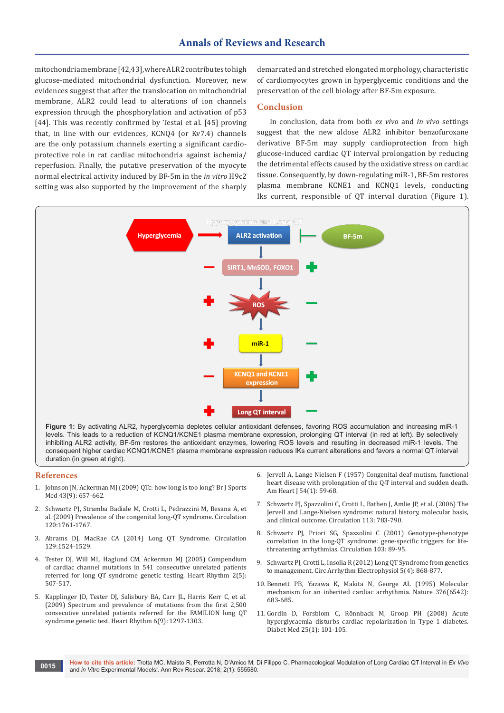mitochondria membrane [42,43], where ALR2 contributes to high glucose-mediated mitochondrial dysfunction. Moreover, new evidences suggest that after the translocation on mitochondrial membrane, ALR2 could lead to alterations of ion channels expression through the phosphorylation and activation of p53 [44]. This was recently confirmed by Testai et al. [45] proving that, in line with our evidences, KCNQ4 (or Kv7.4) channels are the only potassium channels exerting a significant cardioprotective role in rat cardiac mitochondria against ischemia/ reperfusion. Finally, the putative preservation of the myocyte normal electrical activity induced by BF-5m in the *in vitro* H9c2 setting was also supported by the improvement of the sharply

demarcated and stretched elongated morphology, characteristic of cardiomyocytes grown in hyperglycemic conditions and the preservation of the cell biology after BF-5m exposure.

## **Conclusion**

In conclusion, data from both *ex vivo* and *in vivo* settings suggest that the new aldose ALR2 inhibitor benzofuroxane derivative BF-5m may supply cardioprotection from high glucose-induced cardiac QT interval prolongation by reducing the detrimental effects caused by the oxidative stress on cardiac tissue. Consequently, by down-regulating miR-1, BF-5m restores plasma membrane KCNE1 and KCNQ1 levels, conducting Iks current, responsible of QT interval duration (Figure 1).



levels. This leads to a reduction of KCNQ1/KCNE1 plasma membrane expression, prolonging QT interval (in red at left). By selectively inhibiting ALR2 activity, BF-5m restores the antioxidant enzymes, lowering ROS levels and resulting in decreased miR-1 levels. The consequent higher cardiac KCNQ1/KCNE1 plasma membrane expression reduces IKs current alterations and favors a normal QT interval duration (in green at right).

#### **References**

- 1. [Johnson JN, Ackerman MJ \(2009\) QTc: how long is too long? Br J Sports](https://www.ncbi.nlm.nih.gov/pubmed/19734499)  [Med 43\(9\): 657-662.](https://www.ncbi.nlm.nih.gov/pubmed/19734499)
- 2. [Schwartz PJ, Stramba Badiale M, Crotti L, Pedrazzini M, Besana A, et](http://circ.ahajournals.org/content/120/18/1761)  al. (2009) [Prevalence of the congenital long-QT syndrome. Circulation](http://circ.ahajournals.org/content/120/18/1761)  [120:1761-1767.](http://circ.ahajournals.org/content/120/18/1761)
- 3. [Abrams DJ, MacRae CA \(2014\) Long QT Syndrome. Circulation](http://circ.ahajournals.org/content/129/14/1524)  [129:1524-1529.](http://circ.ahajournals.org/content/129/14/1524)
- 4. [Tester DJ, Will ML, Haglund CM, Ackerman MJ \(2005\) Compendium](https://www.ncbi.nlm.nih.gov/pubmed/15840476)  [of cardiac channel mutations in 541 consecutive unrelated patients](https://www.ncbi.nlm.nih.gov/pubmed/15840476)  [referred for long QT syndrome genetic testing. Heart Rhythm 2\(5\):](https://www.ncbi.nlm.nih.gov/pubmed/15840476)  [507-517.](https://www.ncbi.nlm.nih.gov/pubmed/15840476)
- 5. [Kapplinger JD, Tester DJ, Salisbury BA, Carr JL, Harris Kerr C, et al.](https://www.ncbi.nlm.nih.gov/pubmed/19716085)  [\(2009\) Spectrum and prevalence of mutations from the first 2,500](https://www.ncbi.nlm.nih.gov/pubmed/19716085)  [consecutive unrelated patients referred for the FAMILION long QT](https://www.ncbi.nlm.nih.gov/pubmed/19716085)  [syndrome genetic test. Heart Rhythm 6\(9\): 1297-1303.](https://www.ncbi.nlm.nih.gov/pubmed/19716085)
- 6. [Jervell A, Lange Nielsen F \(1957\) Congenital deaf-mutism, functional](https://www.ncbi.nlm.nih.gov/pubmed/13435203)  [heart disease with prolongation of the Q-T interval and sudden death.](https://www.ncbi.nlm.nih.gov/pubmed/13435203)  [Am Heart J 54\(1\): 59-68.](https://www.ncbi.nlm.nih.gov/pubmed/13435203)
- 7. [Schwartz PJ, Spazzolini C, Crotti L, Bathen J, Amlie JP, et al. \(2006\) The](https://www.ncbi.nlm.nih.gov/pubmed/16461811)  [Jervell and Lange-Nielsen syndrome: natural history, molecular basis,](https://www.ncbi.nlm.nih.gov/pubmed/16461811)  [and clinical outcome. Circulation 113: 783-790.](https://www.ncbi.nlm.nih.gov/pubmed/16461811)
- 8. Schwartz PJ, Priori SG, Spazzolini C (2001) Genotype-phenotype correlation in the long-QT syndrome: gene-specific triggers for lifethreatening arrhythmias. Circulation 103: 89-95.
- 9. [Schwartz PJ, Crotti L, Insolia R \(2012\) Long QT Syndrome from genetics](https://www.ncbi.nlm.nih.gov/pmc/articles/PMC3461497/)  [to management. Circ Arrhythm Electrophysiol 5\(4\): 868-877.](https://www.ncbi.nlm.nih.gov/pmc/articles/PMC3461497/)
- 10. [Bennett PB, Yazawa K, Makita N, George AL \(1995\) Molecular](https://www.ncbi.nlm.nih.gov/pubmed/7651517)  [mechanism for an inherited cardiac arrhythmia. Nature 376\(6542\):](https://www.ncbi.nlm.nih.gov/pubmed/7651517)  [683-685.](https://www.ncbi.nlm.nih.gov/pubmed/7651517)
- 11. [Gordin D, Forsblom C, Rönnback M, Groop PH \(2008\) Acute](https://www.ncbi.nlm.nih.gov/pubmed/18199138)  [hyperglycaemia disturbs cardiac repolarization in Type 1 diabetes.](https://www.ncbi.nlm.nih.gov/pubmed/18199138)  [Diabet Med 25\(1\): 101-105.](https://www.ncbi.nlm.nih.gov/pubmed/18199138)

**How to cite this article:** Trotta MC, Maisto R, Perrotta N, D'Amico M, Di Filippo C. Pharmacological Modulation of Long Cardiac QT Interval in *Ex Vivo*  and *in Vitro* Experimental Models!. Ann Rev Resear. 2018; 2(1): 555580. **and** *in Vitro* Experimental Models!. Ann Rev Resear. 2018; 2(1): 555580.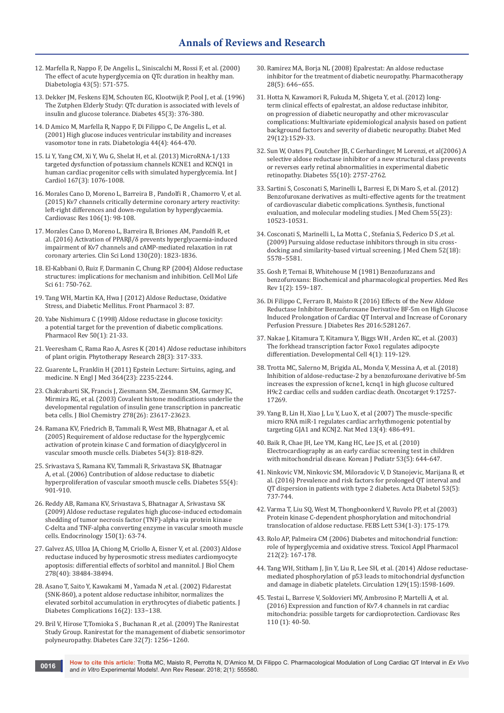- 12. [Marfella R, Nappo F, De Angelis L, Siniscalchi M, Rossi F, et al. \(2000\)](https://www.ncbi.nlm.nih.gov/pubmed/10855531)  [The effect of acute hyperglycemia on QTc duration in healthy man.](https://www.ncbi.nlm.nih.gov/pubmed/10855531)  [Diabetologia 43\(5\): 571-575.](https://www.ncbi.nlm.nih.gov/pubmed/10855531)
- 13. [Dekker JM, Feskens EJM, Schouten EG, Klootwijk P, Pool J, et al. \(1996\)](https://www.ncbi.nlm.nih.gov/pubmed/8593946)  [The Zutphen Elderly Study: QTc duration is associated with levels of](https://www.ncbi.nlm.nih.gov/pubmed/8593946)  [insulin and glucose tolerance. Diabetes 45\(3\): 376-380.](https://www.ncbi.nlm.nih.gov/pubmed/8593946)
- 14. [D Amico M, Marfella R, Nappo F, Di Filippo C, De Angelis L, et al.](https://www.ncbi.nlm.nih.gov/pubmed/11357477)  [\(2001\) High glucose induces ventricular instability and increases](https://www.ncbi.nlm.nih.gov/pubmed/11357477)  [vasomotor tone in rats. Diabetologia 44\(4\): 464-470.](https://www.ncbi.nlm.nih.gov/pubmed/11357477)
- 15. [Li Y, Yang CM, Xi Y, Wu G, Shelat H, et al. \(2013\) MicroRNA-1/133](https://www.ncbi.nlm.nih.gov/pubmed/23157812)  [targeted dysfunction of potassium channels KCNE1 and KCNQ1 in](https://www.ncbi.nlm.nih.gov/pubmed/23157812)  [human cardiac progenitor cells with simulated hyperglycemia. Int J](https://www.ncbi.nlm.nih.gov/pubmed/23157812)  [Cardiol 167\(3\): 1076-1008.](https://www.ncbi.nlm.nih.gov/pubmed/23157812)
- 16. [Morales Cano D, Moreno L, Barreira B ,](https://www.ncbi.nlm.nih.gov/pubmed/25616413) Pandolfi R , Chamorro V, et al. [\(2015\) Kv7 channels critically determine coronary artery reactivity:](https://www.ncbi.nlm.nih.gov/pubmed/25616413)  [left-right differences and down-regulation by hyperglycaemia.](https://www.ncbi.nlm.nih.gov/pubmed/25616413)  [Cardiovasc Res 106\(1\): 98-108.](https://www.ncbi.nlm.nih.gov/pubmed/25616413)
- 17. [Morales Cano D, Moreno L, Barreira B,](https://www.ncbi.nlm.nih.gov/pubmed/27413020) Briones AM, Pandolfi R, et al. (2016) [Activation of PPARβ/δ prevents hyperglycaemia-induced](https://www.ncbi.nlm.nih.gov/pubmed/27413020)  [impairment of Kv7 channels and cAMP-mediated relaxation in rat](https://www.ncbi.nlm.nih.gov/pubmed/27413020)  [coronary arteries. Clin Sci Lond 130\(20\): 1823-1836.](https://www.ncbi.nlm.nih.gov/pubmed/27413020)
- 18. [El-Kabbani O, Ruiz F, Darmanin C, Chung RP \(2004\) Aldose reductase](https://www.ncbi.nlm.nih.gov/pubmed/15095000)  [structures: implications for mechanism and inhibition. Cell Mol Life](https://www.ncbi.nlm.nih.gov/pubmed/15095000)  [Sci 61: 750-762.](https://www.ncbi.nlm.nih.gov/pubmed/15095000)
- 19. [Tang WH, Martin KA, Hwa J \(2012\) Aldose Reductase, Oxidative](https://www.ncbi.nlm.nih.gov/pubmed/22582044)  [Stress, and Diabetic Mellitus. Front Pharmacol 3: 87.](https://www.ncbi.nlm.nih.gov/pubmed/22582044)
- 20. [Yabe Nishimura C \(1998\) Aldose reductase in glucose toxicity:](https://www.ncbi.nlm.nih.gov/pubmed/9549756)  [a potential target for the prevention of diabetic complications.](https://www.ncbi.nlm.nih.gov/pubmed/9549756)  [Pharmacol Rev 50\(1\): 21-33.](https://www.ncbi.nlm.nih.gov/pubmed/9549756)
- 21. [Veeresham C, Rama Rao A, Asres K \(2014\) Aldose reductase inhibitors](https://www.ncbi.nlm.nih.gov/pubmed/23674239)  [of plant origin. Phytotherapy Research 28\(3\): 317-333.](https://www.ncbi.nlm.nih.gov/pubmed/23674239)
- 22. [Guarente L, Franklin H \(2011\) Epstein Lecture: Sirtuins, aging, and](https://www.ncbi.nlm.nih.gov/pubmed/21651395)  [medicine. N Engl J Med 364\(23\): 2235-2244.](https://www.ncbi.nlm.nih.gov/pubmed/21651395)
- 23. [Chakrabarti SK, Francis J, Ziesmann SM, Ziesmann SM, Garmey JC,](https://www.ncbi.nlm.nih.gov/pubmed/12711597)  [Mirmira RG, et al. \(2003\) Covalent histone modifications underlie the](https://www.ncbi.nlm.nih.gov/pubmed/12711597)  [developmental regulation of insulin gene transcription in pancreatic](https://www.ncbi.nlm.nih.gov/pubmed/12711597)  [beta cells. J Biol Chemistry 278\(26\): 23617-23623.](https://www.ncbi.nlm.nih.gov/pubmed/12711597)
- 24. [Ramana KV, Friedrich B, Tammali R, West MB, Bhatnagar A, et al.](https://www.ncbi.nlm.nih.gov/pubmed/15734861)  [\(2005\) Requirement of aldose reductase for the hyperglycemic](https://www.ncbi.nlm.nih.gov/pubmed/15734861)  [activation of protein kinase C and formation of diacylglycerol in](https://www.ncbi.nlm.nih.gov/pubmed/15734861)  [vascular smooth muscle cells. Diabetes 54\(3\): 818-829.](https://www.ncbi.nlm.nih.gov/pubmed/15734861)
- 25. [Srivastava S, Ramana KV, Tammali R, Srivastava SK, Bhatnagar](https://www.ncbi.nlm.nih.gov/pubmed/16567509)  [A, et al. \(2006\) Contribution of aldose reductase to diabetic](https://www.ncbi.nlm.nih.gov/pubmed/16567509)  [hyperproliferation of vascular smooth muscle cells. Diabetes 55\(4\):](https://www.ncbi.nlm.nih.gov/pubmed/16567509)  [901-910.](https://www.ncbi.nlm.nih.gov/pubmed/16567509)
- 26. [Reddy AB, Ramana KV, Srivastava S, Bhatnagar A, Srivastava SK](https://www.ncbi.nlm.nih.gov/pubmed/18772236)  [\(2009\) Aldose reductase regulates high glucose-induced ectodomain](https://www.ncbi.nlm.nih.gov/pubmed/18772236)  [shedding of tumor necrosis factor \(TNF\)-alpha via protein kinase](https://www.ncbi.nlm.nih.gov/pubmed/18772236)  [C-delta and TNF-alpha converting enzyme in vascular smooth muscle](https://www.ncbi.nlm.nih.gov/pubmed/18772236)  [cells. Endocrinology 150\(1\): 63-74.](https://www.ncbi.nlm.nih.gov/pubmed/18772236)
- 27. [Galvez AS, Ulloa JA, Chiong M, Criollo A, Eisner V, et al. \(2003\) Aldose](https://www.ncbi.nlm.nih.gov/pubmed/12881532)  [reductase induced by hyperosmotic stress mediates cardiomyocyte](https://www.ncbi.nlm.nih.gov/pubmed/12881532)  [apoptosis: differential effects of sorbitol and mannitol. J Biol Chem](https://www.ncbi.nlm.nih.gov/pubmed/12881532)  [278\(40\): 38484-38494.](https://www.ncbi.nlm.nih.gov/pubmed/12881532)
- 28. [Asano T, Saito Y, Kawakami M , Yamada N ,et al. \(2002\) Fidarestat](https://www.ncbi.nlm.nih.gov/pubmed/12039395)  [\(SNK-860\), a potent aldose reductase inhibitor, normalizes the](https://www.ncbi.nlm.nih.gov/pubmed/12039395)  [elevated sorbitol accumulation in erythrocytes of diabetic patients. J](https://www.ncbi.nlm.nih.gov/pubmed/12039395)  [Diabetes Complications 16\(2\): 133−138.](https://www.ncbi.nlm.nih.gov/pubmed/12039395)
- 29. [Bril V, Hirose T,Tomioka S , Buchanan R ,et al. \(2009\) The Ranirestat](https://www.ncbi.nlm.nih.gov/pubmed/19366965)  [Study Group. Ranirestat for the management of diabetic sensorimotor](https://www.ncbi.nlm.nih.gov/pubmed/19366965)  [polyneuropathy. Diabetes Care 32\(7\): 1256−1260.](https://www.ncbi.nlm.nih.gov/pubmed/19366965)
- 30. [Ramirez MA, Borja NL \(2008\) Epalrestat: An aldose reductase](https://www.ncbi.nlm.nih.gov/pubmed/18447661)  [inhibitor for the treatment of diabetic neuropathy. Pharmacotherapy](https://www.ncbi.nlm.nih.gov/pubmed/18447661)  [28\(5\): 646−655.](https://www.ncbi.nlm.nih.gov/pubmed/18447661)
- 31. [Hotta N, Kawamori R, Fukuda M, Shigeta Y, et al. \(2012\) long](https://www.ncbi.nlm.nih.gov/pubmed/22507139)[term clinical effects of epalrestat, an aldose reductase inhibitor,](https://www.ncbi.nlm.nih.gov/pubmed/22507139)  [on progression of diabetic neuropathy and other microvascular](https://www.ncbi.nlm.nih.gov/pubmed/22507139)  [complications: Multivariate epidemiological analysis based on patient](https://www.ncbi.nlm.nih.gov/pubmed/22507139)  [background factors and severity of diabetic neuropathy. Diabet Med](https://www.ncbi.nlm.nih.gov/pubmed/22507139)  [29\(12\):1529-33.](https://www.ncbi.nlm.nih.gov/pubmed/22507139)
- 32. [Sun W, Oates PJ, Coutcher JB, C Gerhardinger, M Lorenzi, et al\(2006\) A](http://diabetes.diabetesjournals.org/content/55/10/2757)  [selective aldose reductase inhibitor of a new structural class prevents](http://diabetes.diabetesjournals.org/content/55/10/2757)  [or reverses early retinal abnormalities in experimental diabetic](http://diabetes.diabetesjournals.org/content/55/10/2757)  [retinopathy. Diabetes 55\(10\): 2757-2762.](http://diabetes.diabetesjournals.org/content/55/10/2757)
- 33. [Sartini S, Cosconati S, Marinelli L, Barresi E, Di Maro S, et al. \(2012\)](https://www.ncbi.nlm.nih.gov/pubmed/23134227) [Benzofuroxane derivatives as multi-effective agents for the treatment](https://www.ncbi.nlm.nih.gov/pubmed/23134227)  [of cardiovascular diabetic complications. Synthesis, functional](https://www.ncbi.nlm.nih.gov/pubmed/23134227)  [evaluation, and molecular modeling studies. J Med Chem 55\(23\):](https://www.ncbi.nlm.nih.gov/pubmed/23134227)  [10523-10531.](https://www.ncbi.nlm.nih.gov/pubmed/23134227)
- 34. [Cosconati S, Marinelli L, La Motta C , Stefania S, Federico D S ,et al.](https://pubs.acs.org/doi/abs/10.1021/jm901045w)  [\(2009\) Pursuing aldose reductase inhibitors through in situ cross](https://pubs.acs.org/doi/abs/10.1021/jm901045w)[docking and similarity-based virtual screening. J Med Chem 52\(18\):](https://pubs.acs.org/doi/abs/10.1021/jm901045w)  [5578−5581.](https://pubs.acs.org/doi/abs/10.1021/jm901045w)
- 35. [Gosh P, Ternai B, Whitehouse M \(1981\) Benzofurazans and](https://www.ncbi.nlm.nih.gov/pubmed/7050563)  [benzofuroxans: Biochemical and pharmacological properties. Med Res](https://www.ncbi.nlm.nih.gov/pubmed/7050563)  [Rev 1\(2\): 159−187.](https://www.ncbi.nlm.nih.gov/pubmed/7050563)
- 36. [Di Filippo C, Ferraro B, Maisto R \(2016\) Effects of the New Aldose](https://www.researchgate.net/publication/288817008_Effects_of_the_New_Aldose_Reductase_Inhibitor_Benzofuroxane_Derivative_BF-5m_on_High_Glucose_Induced_Prolongation_of_Cardiac_QT_Interval_and_Increase_of_Coronary_Perfusion_Pressure)  [Reductase Inhibitor Benzofuroxane Derivative BF-5m on High Glucose](https://www.researchgate.net/publication/288817008_Effects_of_the_New_Aldose_Reductase_Inhibitor_Benzofuroxane_Derivative_BF-5m_on_High_Glucose_Induced_Prolongation_of_Cardiac_QT_Interval_and_Increase_of_Coronary_Perfusion_Pressure)  [Induced Prolongation of Cardiac QT Interval and Increase of Coronary](https://www.researchgate.net/publication/288817008_Effects_of_the_New_Aldose_Reductase_Inhibitor_Benzofuroxane_Derivative_BF-5m_on_High_Glucose_Induced_Prolongation_of_Cardiac_QT_Interval_and_Increase_of_Coronary_Perfusion_Pressure)  [Perfusion Pressure. J Diabetes Res 2016:5281267.](https://www.researchgate.net/publication/288817008_Effects_of_the_New_Aldose_Reductase_Inhibitor_Benzofuroxane_Derivative_BF-5m_on_High_Glucose_Induced_Prolongation_of_Cardiac_QT_Interval_and_Increase_of_Coronary_Perfusion_Pressure)
- 37. [Nakae J, Kitamura T, Kitamura Y, Biggs WH , Arden KC, et al. \(2003\)](https://www.ncbi.nlm.nih.gov/pubmed/12530968)  The forkhead transcription factor Foxo1 regulates adipocyte [differentiation. Developmental Cell 4\(1\): 119-129.](https://www.ncbi.nlm.nih.gov/pubmed/12530968)
- 38. [Trotta MC, Salerno M, Brigida AL, Monda V, Messina A, et al. \(2018\)](http://www.oncotarget.com/index.php?journal=oncotarget&page=article&op=view&path%5B%5D=23270)  [Inhibition of aldose-reductase-2 by a benzofuroxane derivative bf-5m](http://www.oncotarget.com/index.php?journal=oncotarget&page=article&op=view&path%5B%5D=23270)  [increases the expression of kcne1, kcnq1 in high glucose cultured](http://www.oncotarget.com/index.php?journal=oncotarget&page=article&op=view&path%5B%5D=23270)  [H9c2 cardiac cells and sudden cardiac death. Oncotarget 9:17257-](http://www.oncotarget.com/index.php?journal=oncotarget&page=article&op=view&path%5B%5D=23270) [17269.](http://www.oncotarget.com/index.php?journal=oncotarget&page=article&op=view&path%5B%5D=23270)
- 39. [Yang B, Lin H, Xiao J, Lu Y, Luo X, et al \(2007\) The muscle-specific](https://www.ncbi.nlm.nih.gov/pubmed/17401374)  [micro RNA miR-1 regulates cardiac arrhythmogenic potential by](https://www.ncbi.nlm.nih.gov/pubmed/17401374)  [targeting GJA1 and KCNJ2. Nat Med 13\(4\): 486-491.](https://www.ncbi.nlm.nih.gov/pubmed/17401374)
- 40. [Baik R, Chae JH, Lee YM, Kang HC, Lee JS, et al. \(2010\)](https://www.ncbi.nlm.nih.gov/pubmed/21189931)  [Electrocardiography as an early cardiac screening test in children](https://www.ncbi.nlm.nih.gov/pubmed/21189931)  [with mitochondrial disease. Korean J Pediatr 53\(5\): 644-647.](https://www.ncbi.nlm.nih.gov/pubmed/21189931)
- 41. [Ninkovic VM, Ninkovic SM, Miloradovic V, D Stanojevic, Marijana B, et](https://www.ncbi.nlm.nih.gov/pmc/articles/PMC5014905/)  [al. \(2016\) Prevalence and risk factors for prolonged QT interval and](https://www.ncbi.nlm.nih.gov/pmc/articles/PMC5014905/)  [QT dispersion in patients with type 2 diabetes. Acta Diabetol 53\(5\):](https://www.ncbi.nlm.nih.gov/pmc/articles/PMC5014905/)  [737-744.](https://www.ncbi.nlm.nih.gov/pmc/articles/PMC5014905/)
- 42. [Varma T, Liu SQ, West M, Thongboonkerd V, Ruvolo PP, et al \(2003\)](https://www.ncbi.nlm.nih.gov/pubmed/12527382)  [Protein kinase C-dependent phosphorylation and mitochondrial](https://www.ncbi.nlm.nih.gov/pubmed/12527382)  [translocation of aldose reductase. FEBS Lett 534\(1-3\): 175-179.](https://www.ncbi.nlm.nih.gov/pubmed/12527382)
- 43. [Rolo AP, Palmeira CM \(2006\) Diabetes and mitochondrial function:](https://www.ncbi.nlm.nih.gov/pubmed/16490224)  [role of hyperglycemia and oxidative stress. Toxicol Appl Pharmacol](https://www.ncbi.nlm.nih.gov/pubmed/16490224)  [212\(2\): 167-178.](https://www.ncbi.nlm.nih.gov/pubmed/16490224)
- 44. [Tang WH, Stitham J, Jin Y, Liu R, Lee SH, et al. \(2014\) Aldose reductase](https://www.ncbi.nlm.nih.gov/pubmed/24474649)[mediated phosphorylation of p53 leads to mitochondrial dysfunction](https://www.ncbi.nlm.nih.gov/pubmed/24474649)  [and damage in diabetic platelets. Circulation 129\(15\):1598-1609.](https://www.ncbi.nlm.nih.gov/pubmed/24474649)
- 45. [Testai L, Barrese V, Soldovieri MV, Ambrosino P, Martelli A, et al.](https://www.ncbi.nlm.nih.gov/pubmed/26718475)  [\(2016\) Expression and function of Kv7.4 channels in rat cardiac](https://www.ncbi.nlm.nih.gov/pubmed/26718475)  [mitochondria: possible targets for cardioprotection. Cardiovasc Res](https://www.ncbi.nlm.nih.gov/pubmed/26718475)  [110 \(1\): 40-50.](https://www.ncbi.nlm.nih.gov/pubmed/26718475)

**How to cite this article:** Trotta MC, Maisto R, Perrotta N, D'Amico M, Di Filippo C. Pharmacological Modulation of Long Cardiac QT Interval in *Ex Vivo*  and *in Vitro* Experimental Models!. Ann Rev Resear. 2018; 2(1): 555580. **and** *in Vitro* Experimental Models!. Ann Rev Resear. 2018; 2(1): 555580.